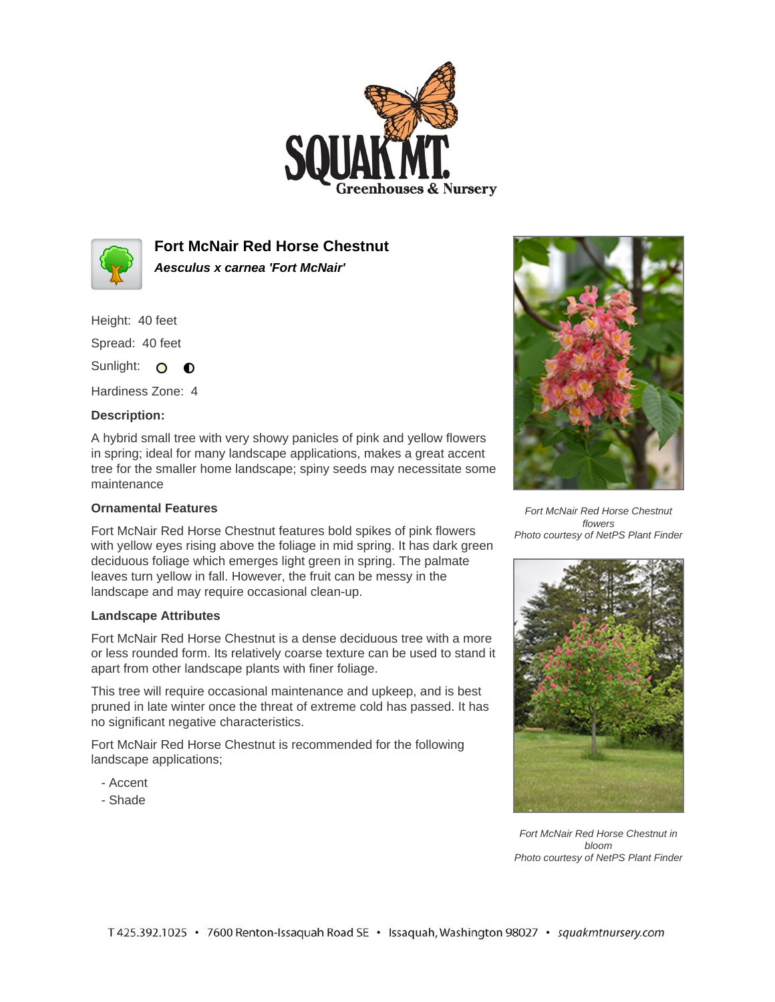



**Fort McNair Red Horse Chestnut Aesculus x carnea 'Fort McNair'**

Height: 40 feet

Spread: 40 feet

Sunlight: O **O** 

Hardiness Zone: 4

## **Description:**

A hybrid small tree with very showy panicles of pink and yellow flowers in spring; ideal for many landscape applications, makes a great accent tree for the smaller home landscape; spiny seeds may necessitate some maintenance

## **Ornamental Features**

Fort McNair Red Horse Chestnut features bold spikes of pink flowers with yellow eyes rising above the foliage in mid spring. It has dark green deciduous foliage which emerges light green in spring. The palmate leaves turn yellow in fall. However, the fruit can be messy in the landscape and may require occasional clean-up.

## **Landscape Attributes**

Fort McNair Red Horse Chestnut is a dense deciduous tree with a more or less rounded form. Its relatively coarse texture can be used to stand it apart from other landscape plants with finer foliage.

This tree will require occasional maintenance and upkeep, and is best pruned in late winter once the threat of extreme cold has passed. It has no significant negative characteristics.

Fort McNair Red Horse Chestnut is recommended for the following landscape applications;

- Accent
- Shade



Fort McNair Red Horse Chestnut flowers Photo courtesy of NetPS Plant Finder



Fort McNair Red Horse Chestnut in bloom Photo courtesy of NetPS Plant Finder